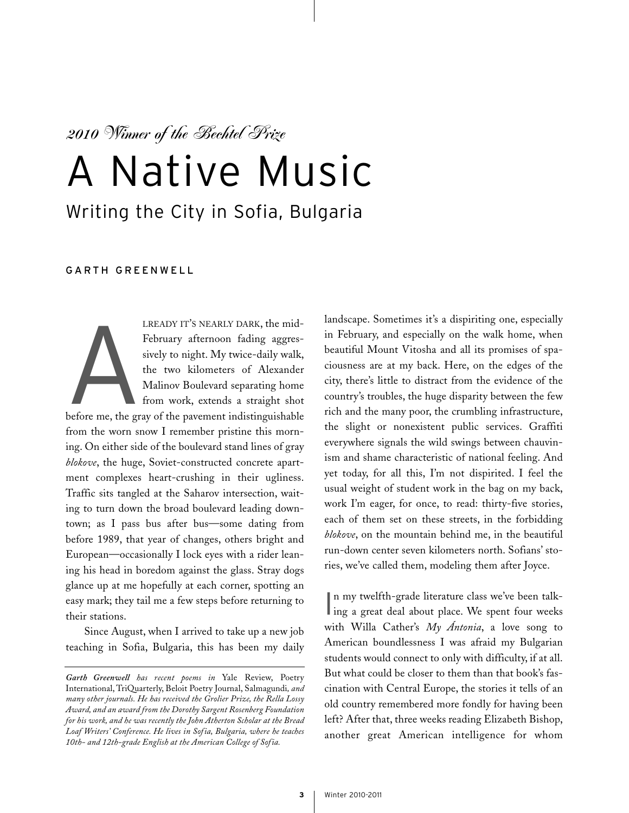*2010 Winner of the Bechtel Prize*

## A Native Music Writing the City in Sofia, Bulgaria

## GARTH GREENWELL

A LREADY IT'S NEARLY DARK, the mid-February afternoon fading aggressively to night. My twice-daily walk, the two kilometers of Alexander Malinov Boulevard separating home from work, extends a straight shot

before me, the gray of the pavement indistinguishable from the worn snow I remember pristine this morning. On either side of the boulevard stand lines of gray *blokove*, the huge, Soviet-constructed concrete apartment complexes heart-crushing in their ugliness. Traffic sits tangled at the Saharov intersection, waiting to turn down the broad boulevard leading downtown; as I pass bus after bus—some dating from before 1989, that year of changes, others bright and European—occasionally I lock eyes with a rider leaning his head in boredom against the glass. Stray dogs glance up at me hopefully at each corner, spotting an easy mark; they tail me a few steps before returning to their stations.

Since August, when I arrived to take up a new job teaching in Sofia, Bulgaria, this has been my daily landscape. Sometimes it's a dispiriting one, especially in February, and especially on the walk home, when beautiful Mount Vitosha and all its promises of spaciousness are at my back. Here, on the edges of the city, there's little to distract from the evidence of the country's troubles, the huge disparity between the few rich and the many poor, the crumbling infrastructure, the slight or nonexistent public services. Graffiti everywhere signals the wild swings between chauvinism and shame characteristic of national feeling. And yet today, for all this, I'm not dispirited. I feel the usual weight of student work in the bag on my back, work I'm eager, for once, to read: thirty-five stories, each of them set on these streets, in the forbidding *blokove*, on the mountain behind me, in the beautiful run-down center seven kilometers north. Sofians' stories, we've called them, modeling them after Joyce.

In my twelfth-grade literature class we've been talk-<br>ing a great deal about place. We spent four weeks n my twelfth-grade literature class we've been talkwith Willa Cather's *My Ántonia*, a love song to American boundlessness I was afraid my Bulgarian students would connect to only with difficulty, if at all. But what could be closer to them than that book's fascination with Central Europe, the stories it tells of an old country remembered more fondly for having been left? After that, three weeks reading Elizabeth Bishop, another great American intelligence for whom

*Garth Greenwell has recent poems in* Yale Review, Poetry International, TriQuarterly, Beloit Poetry Journal, Salmagundi*, and many other journals. He has received the Grolier Prize, the Rella Lossy Award, and an award from the Dorothy Sargent Rosenberg Foundation for his work, and he was recently the John Atherton Scholar at the Bread Loaf Writers' Conference. He lives in Sofia, Bulgaria, where he teaches 10th- and 12th-grade English at the American College of Sofia.*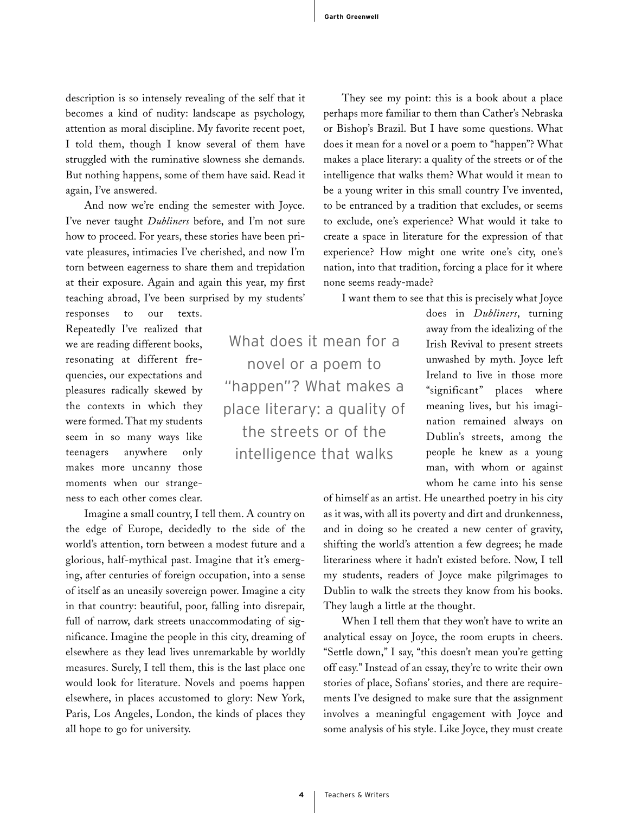description is so intensely revealing of the self that it becomes a kind of nudity: landscape as psychology, attention as moral discipline. My favorite recent poet, I told them, though I know several of them have struggled with the ruminative slowness she demands. But nothing happens, some of them have said. Read it again, I've answered.

And now we're ending the semester with Joyce. I've never taught *Dubliners* before, and I'm not sure how to proceed. For years, these stories have been private pleasures, intimacies I've cherished, and now I'm torn between eagerness to share them and trepidation at their exposure. Again and again this year, my first teaching abroad, I've been surprised by my students'

responses to our texts. Repeatedly I've realized that we are reading different books, resonating at different frequencies, our expectations and pleasures radically skewed by the contexts in which they were formed. That my students seem in so many ways like teenagers anywhere only makes more uncanny those moments when our strangeness to each other comes clear.

Imagine a small country, I tell them. A country on the edge of Europe, decidedly to the side of the world's attention, torn between a modest future and a glorious, half-mythical past. Imagine that it's emerging, after centuries of foreign occupation, into a sense of itself as an uneasily sovereign power. Imagine a city in that country: beautiful, poor, falling into disrepair, full of narrow, dark streets unaccommodating of significance. Imagine the people in this city, dreaming of elsewhere as they lead lives unremarkable by worldly measures. Surely, I tell them, this is the last place one would look for literature. Novels and poems happen elsewhere, in places accustomed to glory: New York, Paris, Los Angeles, London, the kinds of places they all hope to go for university.

They see my point: this is a book about a place perhaps more familiar to them than Cather's Nebraska or Bishop's Brazil. But I have some questions. What does it mean for a novel or a poem to "happen"? What makes a place literary: a quality of the streets or of the intelligence that walks them? What would it mean to be a young writer in this small country I've invented, to be entranced by a tradition that excludes, or seems to exclude, one's experience? What would it take to create a space in literature for the expression of that experience? How might one write one's city, one's nation, into that tradition, forcing a place for it where none seems ready-made?

I want them to see that this is precisely what Joyce

What does it mean for a novel or a poem to "happen"? What makes a place literary: a quality of the streets or of the intelligence that walks

does in *Dubliners*, turning away from the idealizing of the Irish Revival to present streets unwashed by myth. Joyce left Ireland to live in those more "significant" places where meaning lives, but his imagination remained always on Dublin's streets, among the people he knew as a young man, with whom or against whom he came into his sense

of himself as an artist. He unearthed poetry in his city as it was, with all its poverty and dirt and drunkenness, and in doing so he created a new center of gravity, shifting the world's attention a few degrees; he made literariness where it hadn't existed before. Now, I tell my students, readers of Joyce make pilgrimages to Dublin to walk the streets they know from his books. They laugh a little at the thought.

When I tell them that they won't have to write an analytical essay on Joyce, the room erupts in cheers. "Settle down," I say, "this doesn't mean you're getting off easy." Instead of an essay, they're to write their own stories of place, Sofians' stories, and there are requirements I've designed to make sure that the assignment involves a meaningful engagement with Joyce and some analysis of his style. Like Joyce, they must create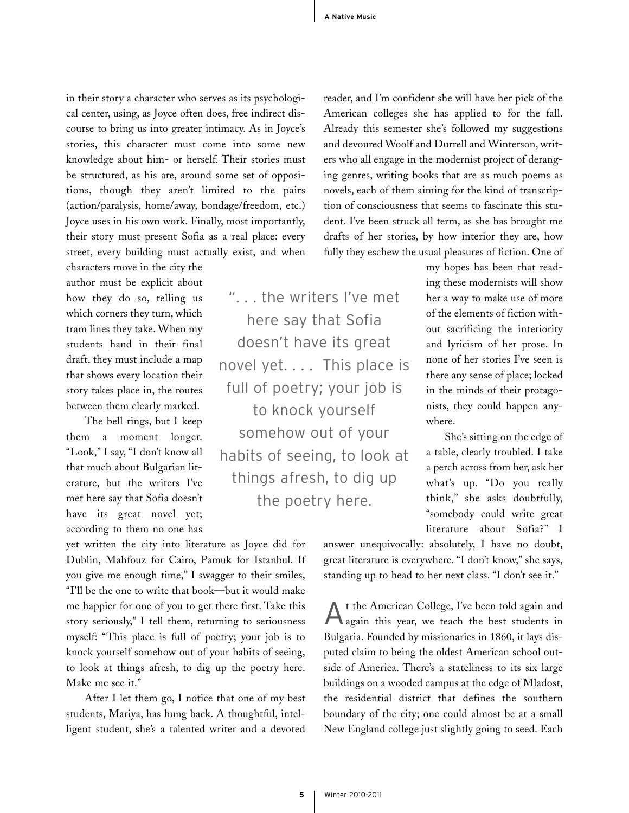". . . the writers I've met

here say that Sofia

doesn't have its great

novel yet.... This place is

full of poetry; your job is

to knock yourself

somehow out of your

habits of seeing, to look at

things afresh, to dig up

the poetry here.

in their story a character who serves as its psychological center, using, as Joyce often does, free indirect discourse to bring us into greater intimacy. As in Joyce's stories, this character must come into some new knowledge about him- or herself. Their stories must be structured, as his are, around some set of oppositions, though they aren't limited to the pairs (action/paralysis, home/away, bondage/freedom, etc.) Joyce uses in his own work. Finally, most importantly, their story must present Sofia as a real place: every street, every building must actually exist, and when

characters move in the city the author must be explicit about how they do so, telling us which corners they turn, which tram lines they take. When my students hand in their final draft, they must include a map that shows every location their story takes place in, the routes between them clearly marked.

The bell rings, but I keep them a moment longer. "Look," I say, "I don't know all that much about Bulgarian literature, but the writers I've met here say that Sofia doesn't have its great novel yet; according to them no one has

yet written the city into literature as Joyce did for Dublin, Mahfouz for Cairo, Pamuk for Istanbul. If you give me enough time," I swagger to their smiles, "I'll be the one to write that book—but it would make me happier for one of you to get there first. Take this story seriously," I tell them, returning to seriousness myself: "This place is full of poetry; your job is to knock yourself somehow out of your habits of seeing, to look at things afresh, to dig up the poetry here. Make me see it."

After I let them go, I notice that one of my best students, Mariya, has hung back. A thoughtful, intelligent student, she's a talented writer and a devoted American colleges she has applied to for the fall. Already this semester she's followed my suggestions and devoured Woolf and Durrell and Winterson, writers who all engage in the modernist project of deranging genres, writing books that are as much poems as novels, each of them aiming for the kind of transcription of consciousness that seems to fascinate this student. I've been struck all term, as she has brought me drafts of her stories, by how interior they are, how fully they eschew the usual pleasures of fiction. One of

reader, and I'm confident she will have her pick of the

my hopes has been that reading these modernists will show her a way to make use of more of the elements of fiction without sacrificing the interiority and lyricism of her prose. In none of her stories I've seen is there any sense of place; locked in the minds of their protagonists, they could happen anywhere.

She's sitting on the edge of a table, clearly troubled. I take a perch across from her, ask her what's up. "Do you really think," she asks doubtfully, "somebody could write great literature about Sofia?" I

answer unequivocally: absolutely, I have no doubt, great literature is everywhere. "I don't know," she says, standing up to head to her next class. "I don't see it."

A<sup>t</sup> the American College, I've been told again and again this year, we teach the best students in Bulgaria. Founded by missionaries in 1860, it lays disputed claim to being the oldest American school outside of America. There's a stateliness to its six large buildings on a wooded campus at the edge of Mladost, the residential district that defines the southern boundary of the city; one could almost be at a small New England college just slightly going to seed. Each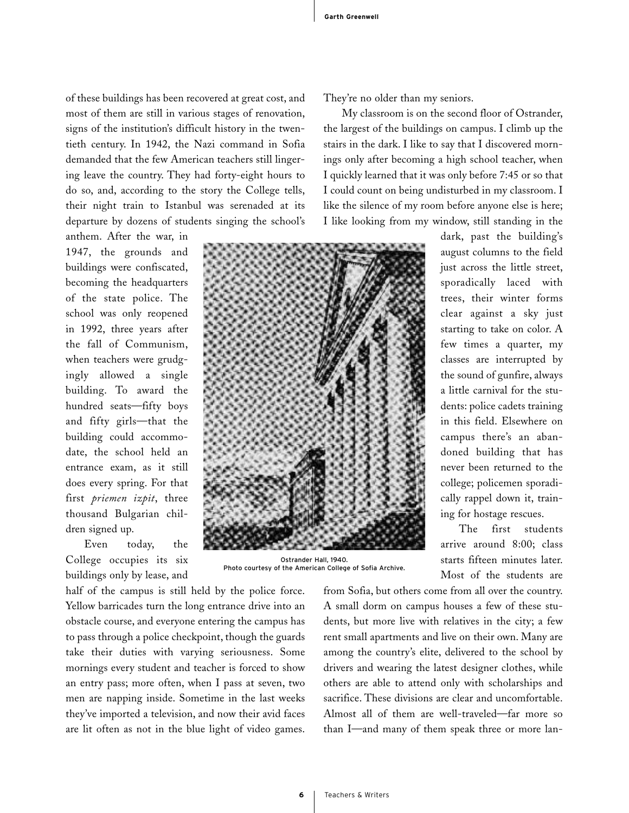of these buildings has been recovered at great cost, and most of them are still in various stages of renovation, signs of the institution's difficult history in the twentieth century. In 1942, the Nazi command in Sofia demanded that the few American teachers still lingering leave the country. They had forty-eight hours to do so, and, according to the story the College tells, their night train to Istanbul was serenaded at its departure by dozens of students singing the school's

anthem. After the war, in 1947, the grounds and buildings were confiscated, becoming the headquarters of the state police. The school was only reopened in 1992, three years after the fall of Communism, when teachers were grudgingly allowed a single building. To award the hundred seats—fifty boys and fifty girls—that the building could accommodate, the school held an entrance exam, as it still does every spring. For that first *priemen izpit*, three thousand Bulgarian children signed up.

Even today, the College occupies its six buildings only by lease, and

half of the campus is still held by the police force. Yellow barricades turn the long entrance drive into an obstacle course, and everyone entering the campus has to pass through a police checkpoint, though the guards take their duties with varying seriousness. Some mornings every student and teacher is forced to show an entry pass; more often, when I pass at seven, two men are napping inside. Sometime in the last weeks they've imported a television, and now their avid faces are lit often as not in the blue light of video games.

They're no older than my seniors.

My classroom is on the second floor of Ostrander, the largest of the buildings on campus. I climb up the stairs in the dark. I like to say that I discovered mornings only after becoming a high school teacher, when I quickly learned that it was only before 7:45 or so that I could count on being undisturbed in my classroom. I like the silence of my room before anyone else is here; I like looking from my window, still standing in the

> dark, past the building's august columns to the field just across the little street, sporadically laced with trees, their winter forms clear against a sky just starting to take on color. A few times a quarter, my classes are interrupted by the sound of gunfire, always a little carnival for the students: police cadets training in this field. Elsewhere on campus there's an abandoned building that has never been returned to the college; policemen sporadically rappel down it, training for hostage rescues.

> The first students arrive around 8:00; class starts fifteen minutes later. Most of the students are

from Sofia, but others come from all over the country. A small dorm on campus houses a few of these students, but more live with relatives in the city; a few rent small apartments and live on their own. Many are among the country's elite, delivered to the school by drivers and wearing the latest designer clothes, while others are able to attend only with scholarships and sacrifice. These divisions are clear and uncomfortable. Almost all of them are well-traveled—far more so than I—and many of them speak three or more lan-



Ostrander Hall, 1940. Photo courtesy of the American College of Sofia Archive.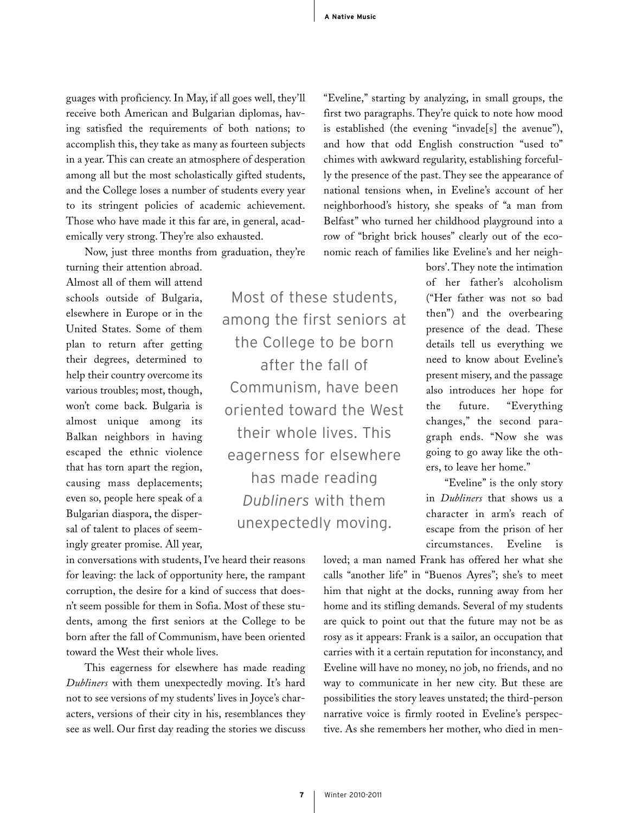guages with proficiency. In May, if all goes well, they'll receive both American and Bulgarian diplomas, having satisfied the requirements of both nations; to accomplish this, they take as many as fourteen subjects in a year. This can create an atmosphere of desperation among all but the most scholastically gifted students, and the College loses a number of students every year to its stringent policies of academic achievement. Those who have made it this far are, in general, academically very strong. They're also exhausted.

Now, just three months from graduation, they're

turning their attention abroad. Almost all of them will attend schools outside of Bulgaria, elsewhere in Europe or in the United States. Some of them plan to return after getting their degrees, determined to help their country overcome its various troubles; most, though, won't come back. Bulgaria is almost unique among its Balkan neighbors in having escaped the ethnic violence that has torn apart the region, causing mass deplacements; even so, people here speak of a Bulgarian diaspora, the dispersal of talent to places of seemingly greater promise. All year,

Most of these students, among the first seniors at the College to be born after the fall of Communism, have been oriented toward the West their whole lives. This eagerness for elsewhere has made reading *Dubliners* with them unexpectedly moving.

in conversations with students, I've heard their reasons for leaving: the lack of opportunity here, the rampant corruption, the desire for a kind of success that doesn't seem possible for them in Sofia. Most of these students, among the first seniors at the College to be born after the fall of Communism, have been oriented toward the West their whole lives.

This eagerness for elsewhere has made reading *Dubliners* with them unexpectedly moving. It's hard not to see versions of my students' lives in Joyce's characters, versions of their city in his, resemblances they see as well. Our first day reading the stories we discuss

"Eveline," starting by analyzing, in small groups, the first two paragraphs. They're quick to note how mood is established (the evening "invade[s] the avenue"), and how that odd English construction "used to" chimes with awkward regularity, establishing forcefully the presence of the past. They see the appearance of national tensions when, in Eveline's account of her neighborhood's history, she speaks of "a man from Belfast" who turned her childhood playground into a row of "bright brick houses" clearly out of the economic reach of families like Eveline's and her neigh-

> bors'. They note the intimation of her father's alcoholism ("Her father was not so bad then") and the overbearing presence of the dead. These details tell us everything we need to know about Eveline's present misery, and the passage also introduces her hope for the future. "Everything changes," the second paragraph ends. "Now she was going to go away like the others, to leave her home."

> "Eveline" is the only story in *Dubliners* that shows us a character in arm's reach of escape from the prison of her circumstances. Eveline is

loved; a man named Frank has offered her what she calls "another life" in "Buenos Ayres"; she's to meet him that night at the docks, running away from her home and its stifling demands. Several of my students are quick to point out that the future may not be as rosy as it appears: Frank is a sailor, an occupation that carries with it a certain reputation for inconstancy, and Eveline will have no money, no job, no friends, and no way to communicate in her new city. But these are possibilities the story leaves unstated; the third-person narrative voice is firmly rooted in Eveline's perspective. As she remembers her mother, who died in men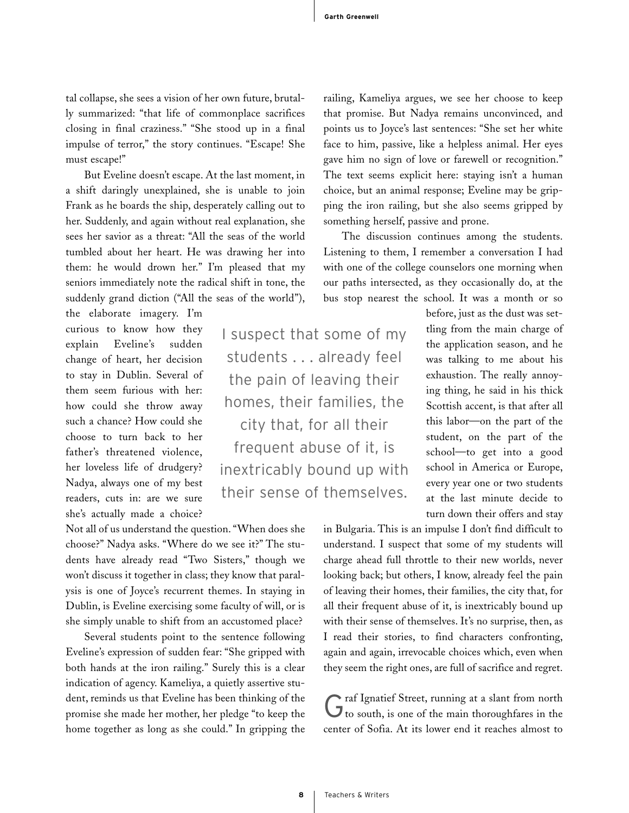tal collapse, she sees a vision of her own future, brutally summarized: "that life of commonplace sacrifices closing in final craziness." "She stood up in a final impulse of terror," the story continues. "Escape! She must escape!"

But Eveline doesn't escape. At the last moment, in a shift daringly unexplained, she is unable to join Frank as he boards the ship, desperately calling out to her. Suddenly, and again without real explanation, she sees her savior as a threat: "All the seas of the world tumbled about her heart. He was drawing her into them: he would drown her." I'm pleased that my seniors immediately note the radical shift in tone, the suddenly grand diction ("All the seas of the world"),

the elaborate imagery. I'm curious to know how they explain Eveline's sudden change of heart, her decision to stay in Dublin. Several of them seem furious with her: how could she throw away such a chance? How could she choose to turn back to her father's threatened violence, her loveless life of drudgery? Nadya, always one of my best readers, cuts in: are we sure she's actually made a choice?

Not all of us understand the question."When does she choose?" Nadya asks. "Where do we see it?" The students have already read "Two Sisters," though we won't discuss it together in class; they know that paralysis is one of Joyce's recurrent themes. In staying in Dublin, is Eveline exercising some faculty of will, or is she simply unable to shift from an accustomed place?

Several students point to the sentence following Eveline's expression of sudden fear: "She gripped with both hands at the iron railing." Surely this is a clear indication of agency. Kameliya, a quietly assertive student, reminds us that Eveline has been thinking of the promise she made her mother, her pledge "to keep the home together as long as she could." In gripping the

I suspect that some of my students . . . already feel the pain of leaving their homes, their families, the city that, for all their frequent abuse of it, is inextricably bound up with their sense of themselves.

railing, Kameliya argues, we see her choose to keep that promise. But Nadya remains unconvinced, and points us to Joyce's last sentences: "She set her white face to him, passive, like a helpless animal. Her eyes gave him no sign of love or farewell or recognition." The text seems explicit here: staying isn't a human choice, but an animal response; Eveline may be gripping the iron railing, but she also seems gripped by something herself, passive and prone.

The discussion continues among the students. Listening to them, I remember a conversation I had with one of the college counselors one morning when our paths intersected, as they occasionally do, at the bus stop nearest the school. It was a month or so

> before, just as the dust was settling from the main charge of the application season, and he was talking to me about his exhaustion. The really annoying thing, he said in his thick Scottish accent, is that after all this labor—on the part of the student, on the part of the school—to get into a good school in America or Europe, every year one or two students at the last minute decide to turn down their offers and stay

in Bulgaria. This is an impulse I don't find difficult to understand. I suspect that some of my students will charge ahead full throttle to their new worlds, never looking back; but others, I know, already feel the pain of leaving their homes, their families, the city that, for all their frequent abuse of it, is inextricably bound up with their sense of themselves. It's no surprise, then, as I read their stories, to find characters confronting, again and again, irrevocable choices which, even when they seem the right ones, are full of sacrifice and regret.

raf Ignatief Street, running at a slant from north  $J$  to south, is one of the main thoroughfares in the center of Sofia. At its lower end it reaches almost to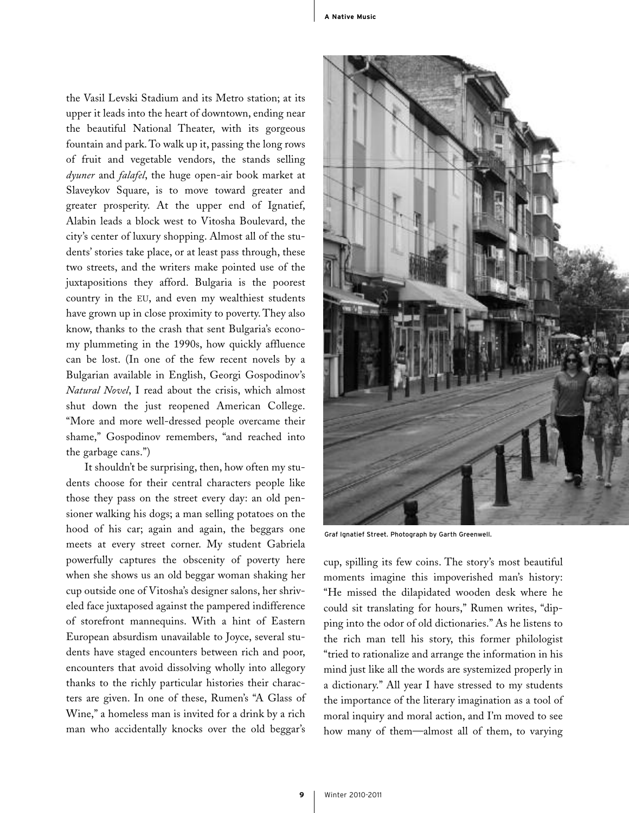the Vasil Levski Stadium and its Metro station; at its upper it leads into the heart of downtown, ending near the beautiful National Theater, with its gorgeous fountain and park. To walk up it, passing the long rows of fruit and vegetable vendors, the stands selling *dyuner* and *falafel*, the huge open-air book market at Slaveykov Square, is to move toward greater and greater prosperity. At the upper end of Ignatief, Alabin leads a block west to Vitosha Boulevard, the city's center of luxury shopping. Almost all of the students' stories take place, or at least pass through, these two streets, and the writers make pointed use of the juxtapositions they afford. Bulgaria is the poorest country in the EU, and even my wealthiest students have grown up in close proximity to poverty. They also know, thanks to the crash that sent Bulgaria's economy plummeting in the 1990s, how quickly affluence can be lost. (In one of the few recent novels by a Bulgarian available in English, Georgi Gospodinov's *Natural Novel*, I read about the crisis, which almost shut down the just reopened American College. "More and more well-dressed people overcame their shame," Gospodinov remembers, "and reached into the garbage cans.")

It shouldn't be surprising, then, how often my students choose for their central characters people like those they pass on the street every day: an old pensioner walking his dogs; a man selling potatoes on the hood of his car; again and again, the beggars one meets at every street corner. My student Gabriela powerfully captures the obscenity of poverty here when she shows us an old beggar woman shaking her cup outside one of Vitosha's designer salons, her shriveled face juxtaposed against the pampered indifference of storefront mannequins. With a hint of Eastern European absurdism unavailable to Joyce, several students have staged encounters between rich and poor, encounters that avoid dissolving wholly into allegory thanks to the richly particular histories their characters are given. In one of these, Rumen's "A Glass of Wine," a homeless man is invited for a drink by a rich man who accidentally knocks over the old beggar's



Graf Ignatief Street. Photograph by Garth Greenwell.

cup, spilling its few coins. The story's most beautiful moments imagine this impoverished man's history: "He missed the dilapidated wooden desk where he could sit translating for hours," Rumen writes, "dipping into the odor of old dictionaries." As he listens to the rich man tell his story, this former philologist "tried to rationalize and arrange the information in his mind just like all the words are systemized properly in a dictionary." All year I have stressed to my students the importance of the literary imagination as a tool of moral inquiry and moral action, and I'm moved to see how many of them—almost all of them, to varying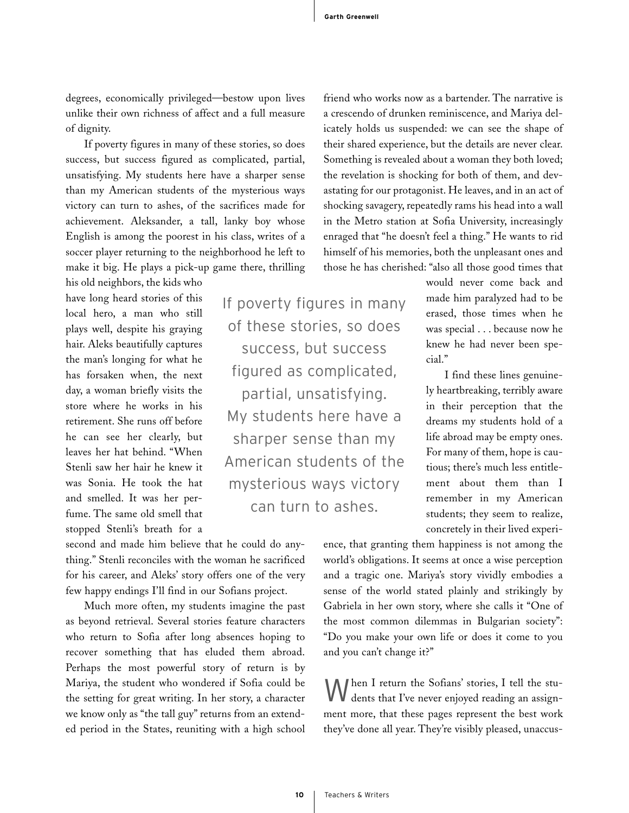degrees, economically privileged—bestow upon lives unlike their own richness of affect and a full measure of dignity.

If poverty figures in many of these stories, so does success, but success figured as complicated, partial, unsatisfying. My students here have a sharper sense than my American students of the mysterious ways victory can turn to ashes, of the sacrifices made for achievement. Aleksander, a tall, lanky boy whose English is among the poorest in his class, writes of a soccer player returning to the neighborhood he left to make it big. He plays a pick-up game there, thrilling

his old neighbors, the kids who have long heard stories of this local hero, a man who still plays well, despite his graying hair. Aleks beautifully captures the man's longing for what he has forsaken when, the next day, a woman briefly visits the store where he works in his retirement. She runs off before he can see her clearly, but leaves her hat behind. "When Stenli saw her hair he knew it was Sonia. He took the hat and smelled. It was her perfume. The same old smell that stopped Stenli's breath for a

of these stories, so does success, but success figured as complicated, partial, unsatisfying. My students here have a sharper sense than my American students of the mysterious ways victory can turn to ashes.

If poverty figures in many

second and made him believe that he could do anything." Stenli reconciles with the woman he sacrificed for his career, and Aleks' story offers one of the very few happy endings I'll find in our Sofians project.

Much more often, my students imagine the past as beyond retrieval. Several stories feature characters who return to Sofia after long absences hoping to recover something that has eluded them abroad. Perhaps the most powerful story of return is by Mariya, the student who wondered if Sofia could be the setting for great writing. In her story, a character we know only as "the tall guy" returns from an extended period in the States, reuniting with a high school

friend who works now as a bartender. The narrative is a crescendo of drunken reminiscence, and Mariya delicately holds us suspended: we can see the shape of their shared experience, but the details are never clear. Something is revealed about a woman they both loved; the revelation is shocking for both of them, and devastating for our protagonist. He leaves, and in an act of shocking savagery, repeatedly rams his head into a wall in the Metro station at Sofia University, increasingly enraged that "he doesn't feel a thing." He wants to rid himself of his memories, both the unpleasant ones and those he has cherished: "also all those good times that

> would never come back and made him paralyzed had to be erased, those times when he was special . . . because now he knew he had never been special."

> I find these lines genuinely heartbreaking, terribly aware in their perception that the dreams my students hold of a life abroad may be empty ones. For many of them, hope is cautious; there's much less entitlement about them than I remember in my American students; they seem to realize, concretely in their lived experi-

ence, that granting them happiness is not among the world's obligations. It seems at once a wise perception and a tragic one. Mariya's story vividly embodies a sense of the world stated plainly and strikingly by Gabriela in her own story, where she calls it "One of the most common dilemmas in Bulgarian society": "Do you make your own life or does it come to you and you can't change it?"

When I return the Sofians' stories, I tell the stu-<br>dents that I've never enjoyed reading an assignment more, that these pages represent the best work they've done all year. They're visibly pleased, unaccus-